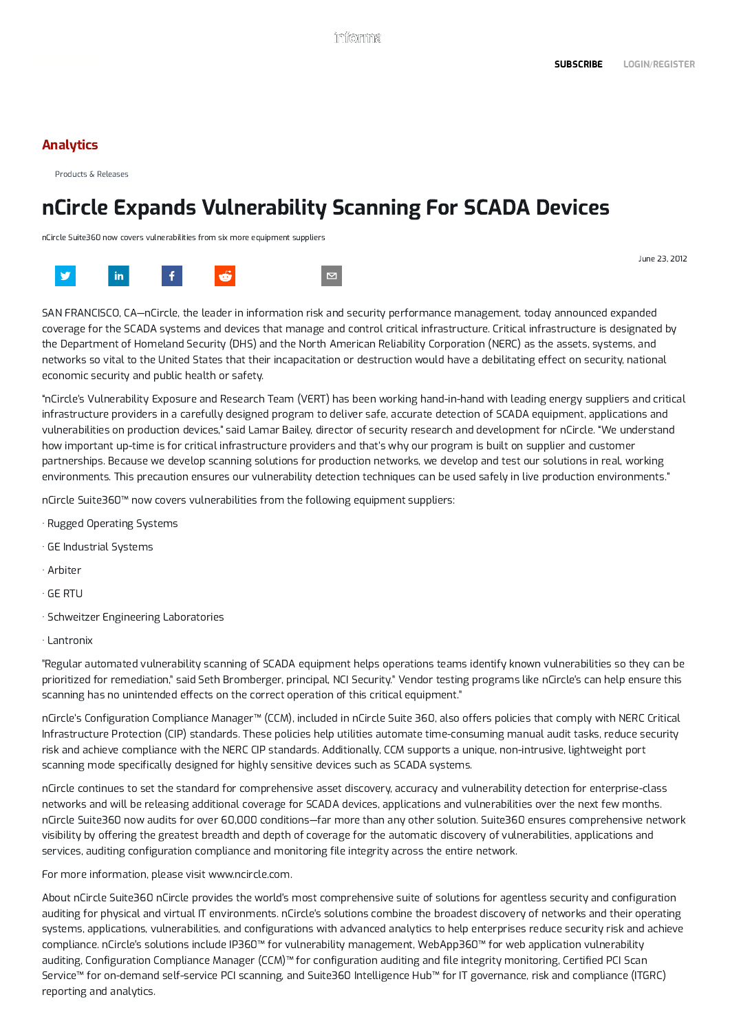# [Analytics](https://www.darkreading.com/analytics)

[Products &](https://www.darkreading.com/latest/products-releases) Releases

# nCircle Expands Vulnerability Scanning For SCADA Devices

nCircle Suite360 now covers vulnerabilities from six more equipment suppliers

SAN FRANCISCO, CA—nCircle, the leader in information risk and security performance management, today announced expanded coverage for the SCADA systems and devices that manage and control critical infrastructure. Critical infrastructure is designated by the Department of Homeland Security (DHS) and the North American Reliability Corporation (NERC) as the assets, systems, and networks so vital to the United States that their incapacitation or destruction would have a debilitating effect on security, national economic security and public health or safety.

"nCircle's Vulnerability Exposure and Research Team (VERT) has been working hand-in-hand with leading energy suppliers and critical infrastructure providers in a carefully designed program to deliver safe, accurate detection of SCADA equipment, applications and vulnerabilities on production devices," said Lamar Bailey, director of security research and development for nCircle. "We understand how important up-time is for critical infrastructure providers and that's why our program is built on supplier and customer partnerships. Because we develop scanning solutions for production networks, we develop and test our solutions in real, working environments. This precaution ensures our vulnerability detection techniques can be used safely in live production environments."

nCircle Suite360™ now covers vulnerabilities from the following equipment suppliers:

- · Rugged Operating Systems
- · GE Industrial Systems
- · Arbiter
- · GE RTU
- · Schweitzer Engineering Laboratories
- · Lantronix

"Regular automated vulnerability scanning of SCADA equipment helps operations teams identify known vulnerabilities so they can be prioritized for remediation," said Seth Bromberger, principal, NCI Security." Vendor testing programs like nCircle's can help ensure this scanning has no unintended effects on the correct operation of this critical equipment."

nCircle's Configuration Compliance Manager™ (CCM), included in nCircle Suite 360, also offers policies that comply with NERC Critical Infrastructure Protection (CIP) standards. These policies help utilities automate time-consuming manual audit tasks, reduce security risk and achieve compliance with the NERC CIP standards. Additionally, CCM supports a unique, non-intrusive, lightweight port scanning mode specifically designed for highly sensitive devices such as SCADA systems.

nCircle continues to set the standard for comprehensive asset discovery, accuracy and vulnerability detection for enterprise-class networks and will be releasing additional coverage for SCADA devices, applications and vulnerabilities over the next few months. nCircle Suite360 now audits for over 60,000 conditions—far more than any other solution. Suite360 ensures comprehensive network visibility by offering the greatest breadth and depth of coverage for the automatic discovery of vulnerabilities, applications and services, auditing configuration compliance and monitoring file integrity across the entire network.

For more information, please visit www.ncircle.com.

About nCircle Suite360 nCircle provides the world's most comprehensive suite of solutions for agentless security and configuration auditing for physical and virtual IT environments. nCircle's solutions combine the broadest discovery of networks and their operating systems, applications, vulnerabilities, and configurations with advanced analytics to help enterprises reduce security risk and achieve compliance. nCircle's solutions include IP360™ for vulnerability management, WebApp360™ for web application vulnerability auditing, Configuration Compliance Manager (CCM)™ for configuration auditing and file integrity monitoring, Certified PCI Scan Service™ for on-demand self-service PCI scanning, and Suite360 Intelligence Hub™ for IT governance, risk and compliance (ITGRC) reporting and analytics.